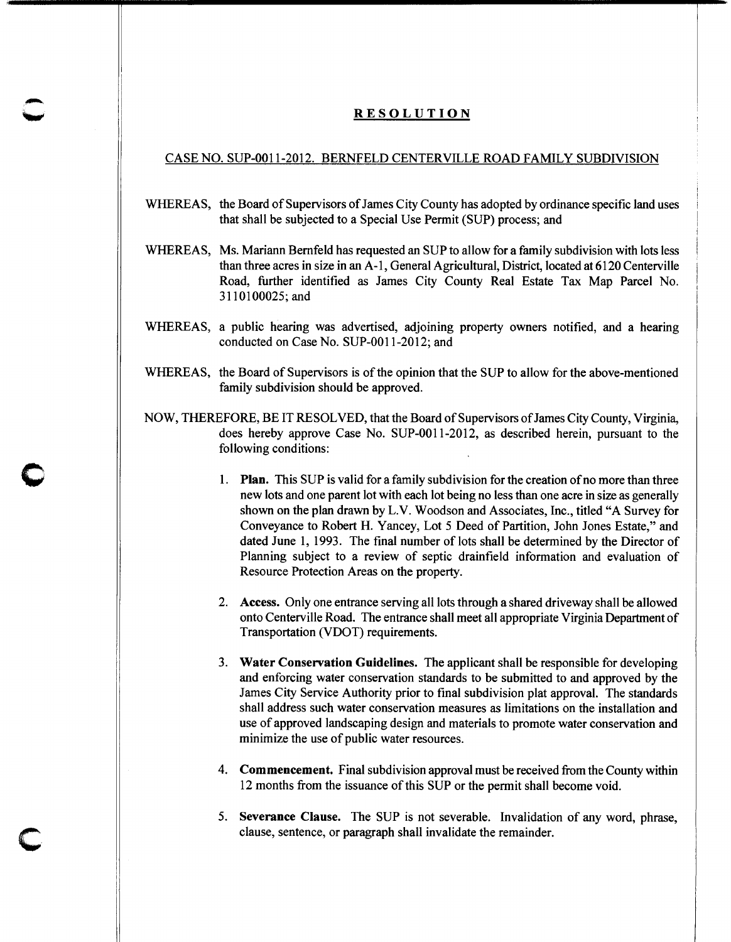## RESOLUTION

## CASE NO. SUP-0011-2012. BERNFELD CENTERVILLE ROAD FAMILY SUBDIVISION

- WHEREAS, the Board of Supervisors of James City County has adopted by ordinance specific land uses that shall be subjected to a Special Use Permit (SUP) process; and
- WHEREAS, Ms. Mariann Bemfeld has requested an SUP to allow for a family subdivision with lots less than three acres in size in an A -1, General Agricultural, District, located at 6120 Centerville Road, further identified as James City County Real Estate Tax Map Parcel No. 3110100025;and
- WHEREAS, a public hearing was advertised, adjoining property owners notified, and a hearing conducted on Case No. SUP-0011-2012; and
- WHEREAS, the Board of Supervisors is of the opinion that the SUP to allow for the above-mentioned family subdivision should be approved.
- NOW, THEREFORE, BE IT RESOLVED, that the Board of Supervisors ofJames City County, Virginia, does hereby approve Case No. SUP-0011-2012, as described herein, pursuant to the following conditions:

 $\bullet$ 

c

- 1. Plan. This SUP is valid for a family subdivision for the creation of no more than three new lots and one parent lot with each lot being no less than one acre in size as generally shown on the plan drawn by L.V. Woodson and Associates, Inc., titled "A Survey for Conveyance to Robert H. Yancey, Lot 5 Deed of Partition, John Jones Estate," and dated June 1, 1993. The final number of lots shall be determined by the Director of Planning subject to a review of septic drainfield information and evaluation of Resource Protection Areas on the property.
- 2. Access. Only one entrance serving all lots through a shared driveway shall be allowed onto Centerville Road. The entrance shall meet all appropriate Virginia Department of Transportation (VDOT) requirements.
- 3. Water Conservation Guidelines. The applicant shall be responsible for developing and enforcing water conservation standards to be submitted to and approved by the James City Service Authority prior to final subdivision plat approval. The standards shall address such water conservation measures as limitations on the installation and use of approved landscaping design and materials to promote water conservation and minimize the use of public water resources.
- 4. Commencement. Final subdivision approval must be received from the County within 12 months from the issuance of this SUP or the permit shall become void.
- 5. Severance Clause. The SUP is not severable. Invalidation of any word, phrase, clause, sentence, or paragraph shall invalidate the remainder.